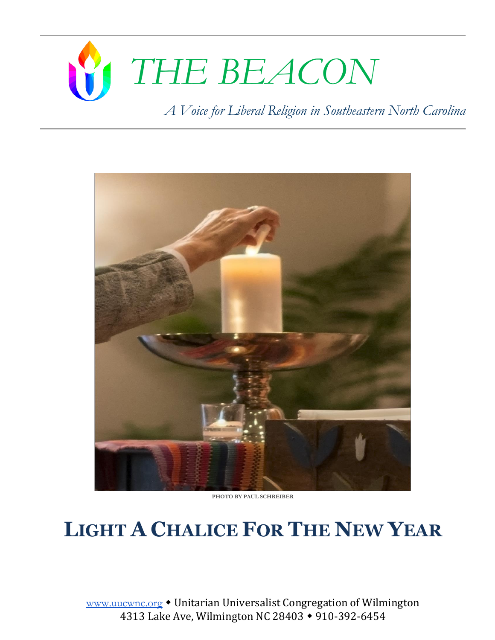# *THE BEACON*

*A Voice for Liberal Religion in Southeastern North Carolina*



**PHOTO BY PAUL SCHREIBER** 

# **LIGHT A CHALICE FOR THE NEW YEAR**

[www.uucwnc.org](http://www.uucwnc.org/) • Unitarian Universalist Congregation of Wilmington 4313 Lake Ave, Wilmington NC 28403 • 910-392-6454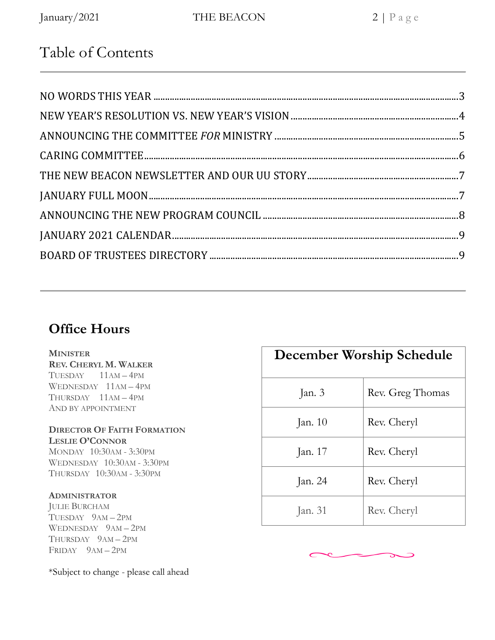# Table of Contents

# **Office Hours**

#### **MINISTER**

**REV. CHERYL M. WALKER** TUESDAY 11AM – 4PM WEDNESDAY 11AM – 4PM THURSDAY 11AM – 4PM AND BY APPOINTMENT

#### **DIRECTOR OF FAITH FORMATION LESLIE O'CONNOR**

MONDAY 10:30AM - 3:30PM WEDNESDAY 10:30AM - 3:30PM THURSDAY 10:30AM - 3:30PM

#### **ADMINISTRATOR**

JULIE BURCHAM TUESDAY 9AM – 2PM WEDNESDAY 9AM – 2PM THURSDAY 9AM – 2PM FRIDAY 9AM – 2PM

\*Subject to change - please call ahead

| December Worship Schedule |                  |  |  |  |  |  |  |
|---------------------------|------------------|--|--|--|--|--|--|
| Jan. 3                    | Rev. Greg Thomas |  |  |  |  |  |  |
| Jan. $10$                 | Rev. Cheryl      |  |  |  |  |  |  |
| Jan. 17                   | Rev. Cheryl      |  |  |  |  |  |  |
| Jan. 24                   | Rev. Cheryl      |  |  |  |  |  |  |
| Jan. 31                   | Rev. Cheryl      |  |  |  |  |  |  |

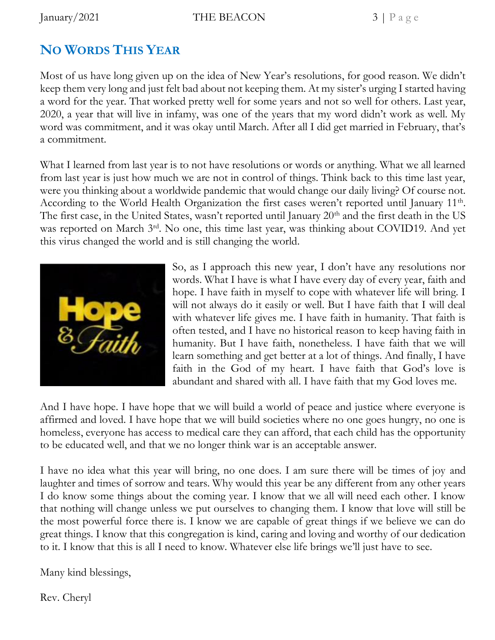# **NO WORDS THIS YEAR**

Most of us have long given up on the idea of New Year's resolutions, for good reason. We didn't keep them very long and just felt bad about not keeping them. At my sister's urging I started having a word for the year. That worked pretty well for some years and not so well for others. Last year, 2020, a year that will live in infamy, was one of the years that my word didn't work as well. My word was commitment, and it was okay until March. After all I did get married in February, that's a commitment.

What I learned from last year is to not have resolutions or words or anything. What we all learned from last year is just how much we are not in control of things. Think back to this time last year, were you thinking about a worldwide pandemic that would change our daily living? Of course not. According to the World Health Organization the first cases weren't reported until January 11<sup>th</sup>. The first case, in the United States, wasn't reported until January  $20<sup>th</sup>$  and the first death in the US was reported on March 3<sup>rd</sup>. No one, this time last year, was thinking about COVID19. And yet this virus changed the world and is still changing the world.



So, as I approach this new year, I don't have any resolutions nor words. What I have is what I have every day of every year, faith and hope. I have faith in myself to cope with whatever life will bring. I will not always do it easily or well. But I have faith that I will deal with whatever life gives me. I have faith in humanity. That faith is often tested, and I have no historical reason to keep having faith in humanity. But I have faith, nonetheless. I have faith that we will learn something and get better at a lot of things. And finally, I have faith in the God of my heart. I have faith that God's love is abundant and shared with all. I have faith that my God loves me.

And I have hope. I have hope that we will build a world of peace and justice where everyone is affirmed and loved. I have hope that we will build societies where no one goes hungry, no one is homeless, everyone has access to medical care they can afford, that each child has the opportunity to be educated well, and that we no longer think war is an acceptable answer.

I have no idea what this year will bring, no one does. I am sure there will be times of joy and laughter and times of sorrow and tears. Why would this year be any different from any other years I do know some things about the coming year. I know that we all will need each other. I know that nothing will change unless we put ourselves to changing them. I know that love will still be the most powerful force there is. I know we are capable of great things if we believe we can do great things. I know that this congregation is kind, caring and loving and worthy of our dedication to it. I know that this is all I need to know. Whatever else life brings we'll just have to see.

Many kind blessings,

Rev. Cheryl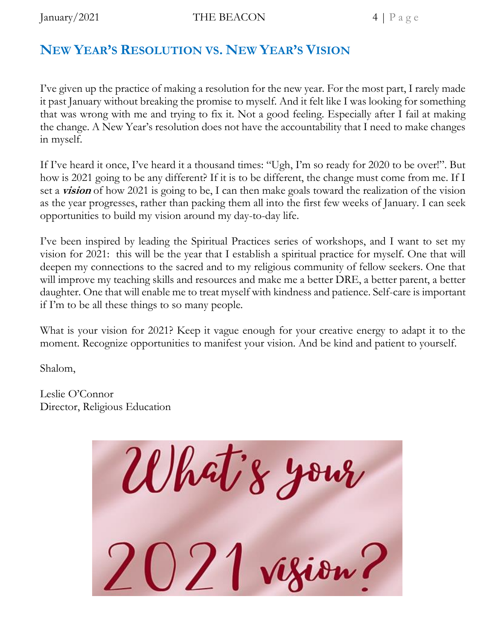# **NEW YEAR'S RESOLUTION VS. NEW YEAR'S VISION**

I've given up the practice of making a resolution for the new year. For the most part, I rarely made it past January without breaking the promise to myself. And it felt like I was looking for something that was wrong with me and trying to fix it. Not a good feeling. Especially after I fail at making the change. A New Year's resolution does not have the accountability that I need to make changes in myself.

If I've heard it once, I've heard it a thousand times: "Ugh, I'm so ready for 2020 to be over!". But how is 2021 going to be any different? If it is to be different, the change must come from me. If I set a **vision** of how 2021 is going to be, I can then make goals toward the realization of the vision as the year progresses, rather than packing them all into the first few weeks of January. I can seek opportunities to build my vision around my day-to-day life.

I've been inspired by leading the Spiritual Practices series of workshops, and I want to set my vision for 2021: this will be the year that I establish a spiritual practice for myself. One that will deepen my connections to the sacred and to my religious community of fellow seekers. One that will improve my teaching skills and resources and make me a better DRE, a better parent, a better daughter. One that will enable me to treat myself with kindness and patience. Self-care is important if I'm to be all these things to so many people.

What is your vision for 2021? Keep it vague enough for your creative energy to adapt it to the moment. Recognize opportunities to manifest your vision. And be kind and patient to yourself.

Shalom,

Leslie O'Connor Director, Religious Education

What's your  $2021$  vizion?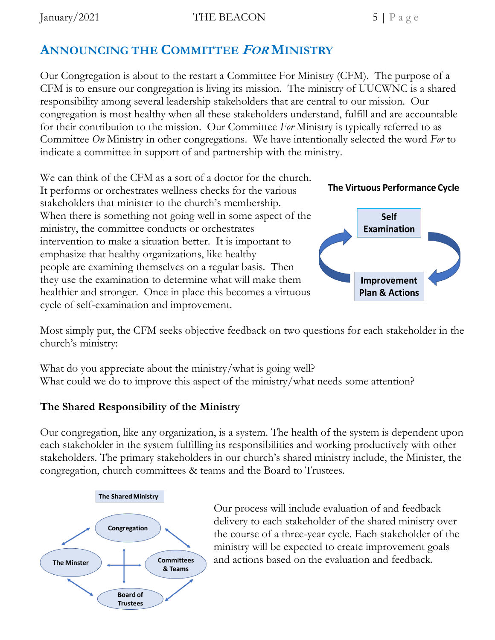$\text{January}/2021$  THE BEACON 5 | P a g e

# **ANNOUNCING THE COMMITTEE FOR MINISTRY**

Our Congregation is about to the restart a Committee For Ministry (CFM). The purpose of a CFM is to ensure our congregation is living its mission. The ministry of UUCWNC is a shared responsibility among several leadership stakeholders that are central to our mission. Our congregation is most healthy when all these stakeholders understand, fulfill and are accountable for their contribution to the mission. Our Committee *For* Ministry is typically referred to as Committee *On* Ministry in other congregations. We have intentionally selected the word *For* to indicate a committee in support of and partnership with the ministry.

We can think of the CFM as a sort of a doctor for the church. It performs or orchestrates wellness checks for the various stakeholders that minister to the church's membership. When there is something not going well in some aspect of the ministry, the committee conducts or orchestrates intervention to make a situation better. It is important to emphasize that healthy organizations, like healthy people are examining themselves on a regular basis. Then they use the examination to determine what will make them healthier and stronger. Once in place this becomes a virtuous cycle of self-examination and improvement.





Most simply put, the CFM seeks objective feedback on two questions for each stakeholder in the church's ministry:

What do you appreciate about the ministry/what is going well? What could we do to improve this aspect of the ministry/what needs some attention?

## **The Shared Responsibility of the Ministry**

Our congregation, like any organization, is a system. The health of the system is dependent upon each stakeholder in the system fulfilling its responsibilities and working productively with other stakeholders. The primary stakeholders in our church's shared ministry include, the Minister, the congregation, church committees & teams and the Board to Trustees.



Our process will include evaluation of and feedback delivery to each stakeholder of the shared ministry over the course of a three-year cycle. Each stakeholder of the ministry will be expected to create improvement goals and actions based on the evaluation and feedback.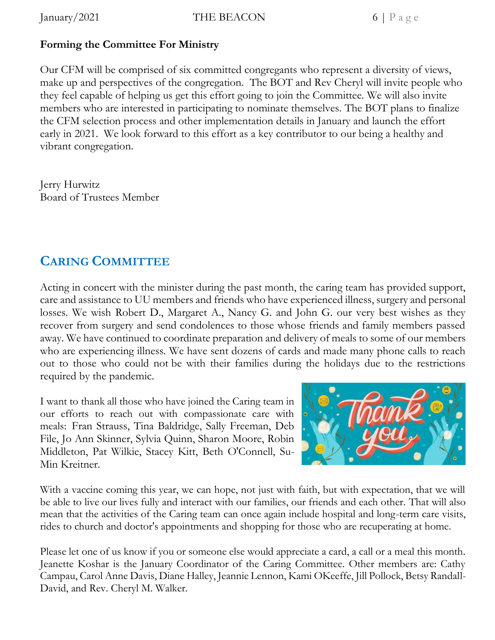### **Forming the Committee For Ministry**

Our CFM will be comprised of six committed congregants who represent a diversity of views, make up and perspectives of the congregation. The BOT and Rev Cheryl will invite people who they feel capable of helping us get this effort going to join the Committee. We will also invite members who are interested in participating to nominate themselves. The BOT plans to finalize the CFM selection process and other implementation details in January and launch the effort early in 2021. We look forward to this effort as a key contributor to our being a healthy and vibrant congregation.

Jerry Hurwitz Board of Trustees Member

# **CARING COMMITTEE**

Acting in concert with the minister during the past month, the caring team has provided support, care and assistance to UU members and friends who have experienced illness, surgery and personal losses. We wish Robert D., Margaret A., Nancy G. and John G. our very best wishes as they recover from surgery and send condolences to those whose friends and family members passed away. We have continued to coordinate preparation and delivery of meals to some of our members who are experiencing illness. We have sent dozens of cards and made many phone calls to reach out to those who could not be with their families during the holidays due to the restrictions required by the pandemic.

I want to thank all those who have joined the Caring team in our efforts to reach out with compassionate care with meals: Fran Strauss, Tina Baldridge, Sally Freeman, Deb File, Jo Ann Skinner, Sylvia Quinn, Sharon Moore, Robin Middleton, Pat Wilkie, Stacey Kitt, Beth O'Connell, Su-Min Kreitner.



With a vaccine coming this year, we can hope, not just with faith, but with expectation, that we will be able to live our lives fully and interact with our families, our friends and each other. That will also mean that the activities of the Caring team can once again include hospital and long-term care visits, rides to church and doctor's appointments and shopping for those who are recuperating at home.

Please let one of us know if you or someone else would appreciate a card, a call or a meal this month. Jeanette Koshar is the January Coordinator of the Caring Committee. Other members are: Cathy Campau, Carol Anne Davis, Diane Halley, Jeannie Lennon, Kami OKeeffe, Jill Pollock, Betsy Randall-David, and Rev. Cheryl M. Walker.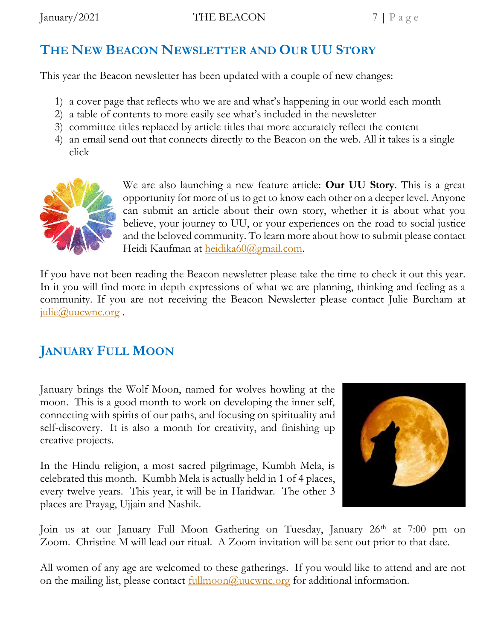# **THE NEW BEACON NEWSLETTER AND OUR UU STORY**

This year the Beacon newsletter has been updated with a couple of new changes:

- 1) a cover page that reflects who we are and what's happening in our world each month
- 2) a table of contents to more easily see what's included in the newsletter
- 3) committee titles replaced by article titles that more accurately reflect the content
- 4) an email send out that connects directly to the Beacon on the web. All it takes is a single click



We are also launching a new feature article: **Our UU Story**. This is a great opportunity for more of us to get to know each other on a deeper level. Anyone can submit an article about their own story, whether it is about what you believe, your journey to UU, or your experiences on the road to social justice and the beloved community. To learn more about how to submit please contact Heidi Kaufman at [heidika60@gmail.com.](mailto:heidika60@gmail.com)

If you have not been reading the Beacon newsletter please take the time to check it out this year. In it you will find more in depth expressions of what we are planning, thinking and feeling as a community. If you are not receiving the Beacon Newsletter please contact Julie Burcham at  $j$ ulie $@$ uucwnc.org.

# **JANUARY FULL MOON**

January brings the Wolf Moon, named for wolves howling at the moon. This is a good month to work on developing the inner self, connecting with spirits of our paths, and focusing on spirituality and self-discovery. It is also a month for creativity, and finishing up creative projects.

In the Hindu religion, a most sacred pilgrimage, Kumbh Mela, is celebrated this month. Kumbh Mela is actually held in 1 of 4 places, every twelve years. This year, it will be in Haridwar. The other 3 places are Prayag, Ujjain and Nashik.



Join us at our January Full Moon Gathering on Tuesday, January 26<sup>th</sup> at 7:00 pm on Zoom. Christine M will lead our ritual. A Zoom invitation will be sent out prior to that date.

All women of any age are welcomed to these gatherings. If you would like to attend and are not on the mailing list, please contact <u>fullmoon@uucwnc.org</u> for additional information.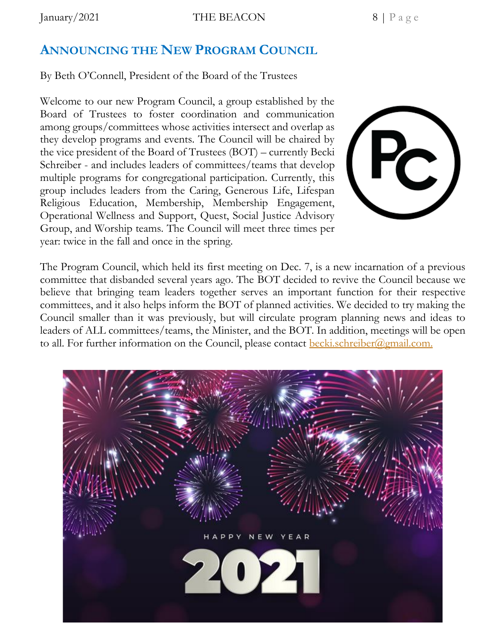$\text{January}/2021$  THE BEACON 8 | P a g e

## **ANNOUNCING THE NEW PROGRAM COUNCIL**

By Beth O'Connell, President of the Board of the Trustees

Welcome to our new Program Council, a group established by the Board of Trustees to foster coordination and communication among groups/committees whose activities intersect and overlap as they develop programs and events. The Council will be chaired by the vice president of the Board of Trustees (BOT) – currently Becki Schreiber - and includes leaders of committees/teams that develop multiple programs for congregational participation. Currently, this group includes leaders from the Caring, Generous Life, Lifespan Religious Education, Membership, Membership Engagement, Operational Wellness and Support, Quest, Social Justice Advisory Group, and Worship teams. The Council will meet three times per year: twice in the fall and once in the spring.



The Program Council, which held its first meeting on Dec. 7, is a new incarnation of a previous committee that disbanded several years ago. The BOT decided to revive the Council because we believe that bringing team leaders together serves an important function for their respective committees, and it also helps inform the BOT of planned activities. We decided to try making the Council smaller than it was previously, but will circulate program planning news and ideas to leaders of ALL committees/teams, the Minister, and the BOT. In addition, meetings will be open to all. For further information on the Council, please contact **becki**.schreiber@gmail.com.